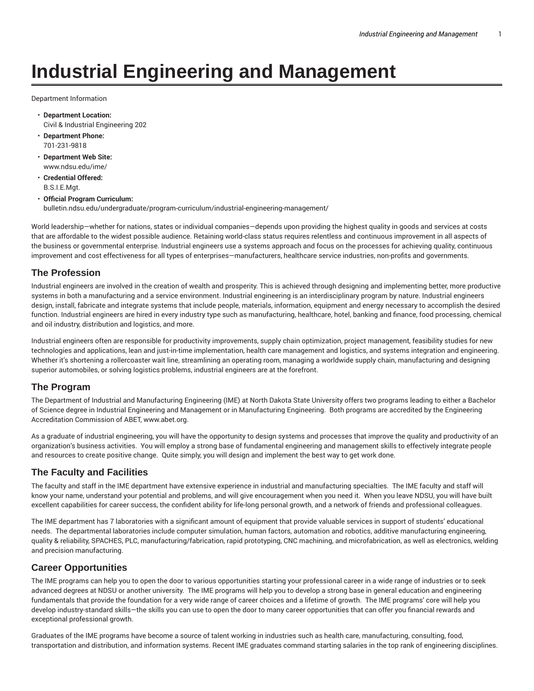# **Industrial Engineering and Management**

Department Information

- **Department Location:** Civil & Industrial Engineering 202
- **Department Phone:** 701-231-9818
- **Department Web Site:** www.ndsu.edu/ime/
- **Credential Offered:** B.S.I.E.Mgt.
- **Official Program Curriculum:** bulletin.ndsu.edu/undergraduate/program-curriculum/industrial-engineering-management/

World leadership—whether for nations, states or individual companies—depends upon providing the highest quality in goods and services at costs that are affordable to the widest possible audience. Retaining world-class status requires relentless and continuous improvement in all aspects of the business or governmental enterprise. Industrial engineers use a systems approach and focus on the processes for achieving quality, continuous improvement and cost effectiveness for all types of enterprises—manufacturers, healthcare service industries, non-profits and governments.

# **The Profession**

Industrial engineers are involved in the creation of wealth and prosperity. This is achieved through designing and implementing better, more productive systems in both a manufacturing and a service environment. Industrial engineering is an interdisciplinary program by nature. Industrial engineers design, install, fabricate and integrate systems that include people, materials, information, equipment and energy necessary to accomplish the desired function. Industrial engineers are hired in every industry type such as manufacturing, healthcare, hotel, banking and finance, food processing, chemical and oil industry, distribution and logistics, and more.

Industrial engineers often are responsible for productivity improvements, supply chain optimization, project management, feasibility studies for new technologies and applications, lean and just-in-time implementation, health care management and logistics, and systems integration and engineering. Whether it's shortening a rollercoaster wait line, streamlining an operating room, managing a worldwide supply chain, manufacturing and designing superior automobiles, or solving logistics problems, industrial engineers are at the forefront.

### **The Program**

The Department of Industrial and Manufacturing Engineering (IME) at North Dakota State University offers two programs leading to either a Bachelor of Science degree in Industrial Engineering and Management or in Manufacturing Engineering. Both programs are accredited by the Engineering Accreditation Commission of ABET, www.abet.org.

As a graduate of industrial engineering, you will have the opportunity to design systems and processes that improve the quality and productivity of an organization's business activities. You will employ a strong base of fundamental engineering and management skills to effectively integrate people and resources to create positive change. Quite simply, you will design and implement the best way to get work done.

### **The Faculty and Facilities**

The faculty and staff in the IME department have extensive experience in industrial and manufacturing specialties. The IME faculty and staff will know your name, understand your potential and problems, and will give encouragement when you need it. When you leave NDSU, you will have built excellent capabilities for career success, the confident ability for life-long personal growth, and a network of friends and professional colleagues.

The IME department has 7 laboratories with a significant amount of equipment that provide valuable services in support of students' educational needs. The departmental laboratories include computer simulation, human factors, automation and robotics, additive manufacturing engineering, quality & reliability, SPACHES, PLC, manufacturing/fabrication, rapid prototyping, CNC machining, and microfabrication, as well as electronics, welding and precision manufacturing.

### **Career Opportunities**

The IME programs can help you to open the door to various opportunities starting your professional career in a wide range of industries or to seek advanced degrees at NDSU or another university. The IME programs will help you to develop a strong base in general education and engineering fundamentals that provide the foundation for a very wide range of career choices and a lifetime of growth. The IME programs' core will help you develop industry-standard skills—the skills you can use to open the door to many career opportunities that can offer you financial rewards and exceptional professional growth.

Graduates of the IME programs have become a source of talent working in industries such as health care, manufacturing, consulting, food, transportation and distribution, and information systems. Recent IME graduates command starting salaries in the top rank of engineering disciplines.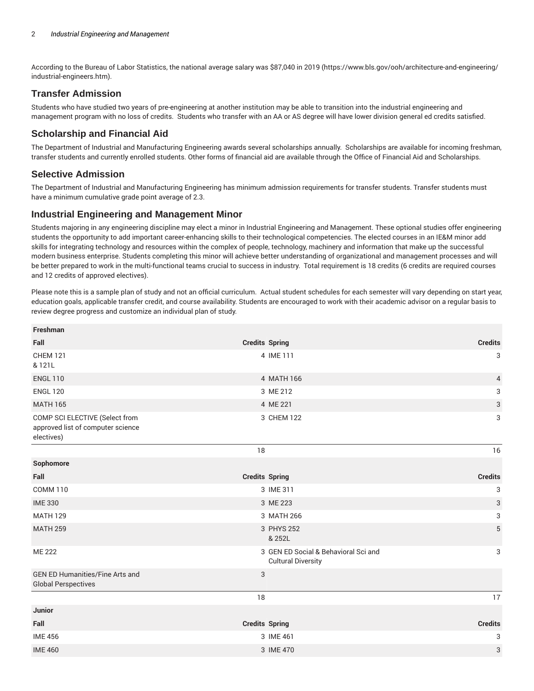According to the Bureau of Labor Statistics, the national average salary was \$87,040 in 2019 (https://www.bls.gov/ooh/architecture-and-engineering/ industrial-engineers.htm).

# **Transfer Admission**

Students who have studied two years of pre-engineering at another institution may be able to transition into the industrial engineering and management program with no loss of credits. Students who transfer with an AA or AS degree will have lower division general ed credits satisfied.

# **Scholarship and Financial Aid**

The Department of Industrial and Manufacturing Engineering awards several scholarships annually. Scholarships are available for incoming freshman, transfer students and currently enrolled students. Other forms of financial aid are available through the Office of Financial Aid and Scholarships.

#### **Selective Admission**

The Department of Industrial and Manufacturing Engineering has minimum admission requirements for transfer students. Transfer students must have a minimum cumulative grade point average of 2.3.

### **Industrial Engineering and Management Minor**

Students majoring in any engineering discipline may elect a minor in Industrial Engineering and Management. These optional studies offer engineering students the opportunity to add important career-enhancing skills to their technological competencies. The elected courses in an IE&M minor add skills for integrating technology and resources within the complex of people, technology, machinery and information that make up the successful modern business enterprise. Students completing this minor will achieve better understanding of organizational and management processes and will be better prepared to work in the multi-functional teams crucial to success in industry. Total requirement is 18 credits (6 credits are required courses and 12 credits of approved electives).

Please note this is a sample plan of study and not an official curriculum. Actual student schedules for each semester will vary depending on start year, education goals, applicable transfer credit, and course availability. Students are encouraged to work with their academic advisor on a regular basis to review degree progress and customize an individual plan of study.

| Freshman                                                                          |                                                                   |                |
|-----------------------------------------------------------------------------------|-------------------------------------------------------------------|----------------|
| Fall                                                                              | <b>Credits Spring</b>                                             | <b>Credits</b> |
| <b>CHEM 121</b><br>& 121L                                                         | 4 IME 111                                                         | 3              |
| <b>ENGL 110</b>                                                                   | 4 MATH 166                                                        | $\overline{4}$ |
| <b>ENGL 120</b>                                                                   | 3 ME 212                                                          | 3              |
| <b>MATH 165</b>                                                                   | 4 ME 221                                                          | 3              |
| COMP SCI ELECTIVE (Select from<br>approved list of computer science<br>electives) | 3 CHEM 122                                                        | 3              |
|                                                                                   | 18                                                                | 16             |
| Sophomore                                                                         |                                                                   |                |
| Fall                                                                              | <b>Credits Spring</b>                                             | <b>Credits</b> |
| <b>COMM 110</b>                                                                   | 3 IME 311                                                         | 3              |
| <b>IME 330</b>                                                                    | 3 ME 223                                                          | 3              |
| <b>MATH 129</b>                                                                   | 3 MATH 266                                                        | 3              |
| <b>MATH 259</b>                                                                   | 3 PHYS 252<br>& 252L                                              | 5              |
| <b>ME 222</b>                                                                     | 3 GEN ED Social & Behavioral Sci and<br><b>Cultural Diversity</b> | 3              |
| <b>GEN ED Humanities/Fine Arts and</b><br><b>Global Perspectives</b>              | 3                                                                 |                |
|                                                                                   | 18                                                                | 17             |
| <b>Junior</b>                                                                     |                                                                   |                |
| Fall                                                                              | <b>Credits Spring</b>                                             | <b>Credits</b> |
| <b>IME 456</b>                                                                    | 3 IME 461                                                         | 3              |
| <b>IME 460</b>                                                                    | 3 IME 470                                                         | 3              |